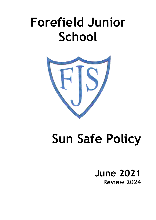# **Forefield Junior School**



# **Sun Safe Policy**

**June 2021 Review 2024**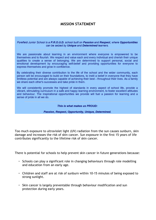## **MISSION STATEMENT**

Forefield Junior School is a P.R.O.U.D. school built on Passion and Respect, where Opportunities can be seized by Unique and Determined learners.

We are passionate about learning in an environment where everyone is empowered to be themselves and to flourish. We respect and value each and every individual and cherish their unique qualities to create a sense of belonging. We are determined to support personal, social and emotional development by encouraging self-belief and providing opportunities for everyone to express themselves and grow in confidence.

By celebrating their diverse contribution to the life of the school and the wider community, each person will be encouraged to build on their foundations, to instil a belief in everyone that they have limitless potential and are always capable of achieving their best - throughout their lives. As a family we share each other's successes and take pride in them.

We will consistently promote the highest of standards in every aspect of school life, provide a vibrant, stimulating curriculum in a safe and happy learning environment, to foster excellent attitudes and behaviour. The inspirational opportunities we provide will fuel a passion for learning and a sense of pride in all we do.

This is what makes us PROUD:

Passion, Respect, Opportunity, Unique, Determined.

Too much exposure to ultraviolet light (UV) radiation from the sun causes sunburn, skin damage and increases the risk of skin cancer. Sun exposure in the first 15 years of life contributes significantly to the lifetime risk of skin cancer.

There is potential for schools to help prevent skin cancer in future generations because:

- Schools can play a significant role in changing behaviours through role modelling and education from an early age.
- Children and staff are at risk of sunburn within 10-15 minutes of being exposed to strong sunlight.
- Skin cancer is largely preventable through behaviour modification and sun protection during early years.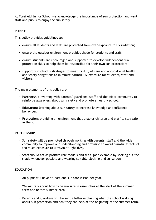At Forefield Junior School we acknowledge the importance of sun protection and want staff and pupils to enjoy the sun safely.

#### **PURPOSE**

This policy provides guidelines to:

- ensure all students and staff are protected from over-exposure to UV radiation;
- ensure the outdoor environment provides shade for students and staff;
- ensure students are encouraged and supported to develop independent sun protection skills to help them be responsible for their own sun protection;
- support our school's strategies to meet its duty of care and occupational health and safety obligations to minimise harmful UV exposure for students, staff and visitors.

The main elements of this policy are:

- **Partnership**: working with parents/ guardians, staff and the wider community to reinforce awareness about sun safety and promote a healthy school.
- **Education**: learning about sun safety to increase knowledge and influence behaviour.
- **Protection**: providing an environment that enables children and staff to stay safe in the sun.

#### **PARTNERSHIP**

- Sun safety will be promoted through working with parents, staff and the wider community to improve our understanding and provision to avoid harmful effects of too much exposure to ultraviolet light (UV).
- Staff should act as positive role models and set a good example by seeking out the shade whenever possible and wearing suitable clothing and sunscreen

#### **EDUCATION**

- All pupils will have at least one sun safe lesson per year.
- We will talk about how to be sun safe in assemblies at the start of the summer term and before summer break.
- Parents and guardians will be sent a letter explaining what the school is doing about sun protection and how they can help at the beginning of the summer term.